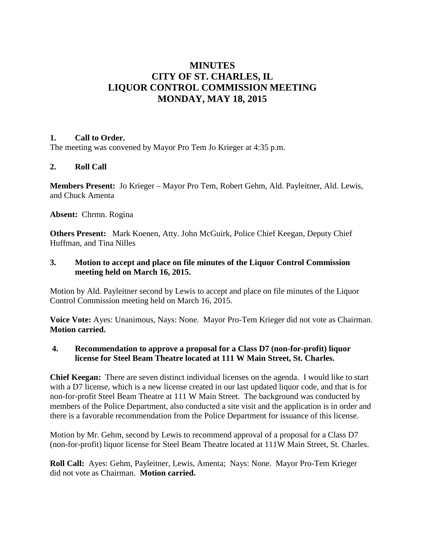# **MINUTES CITY OF ST. CHARLES, IL LIQUOR CONTROL COMMISSION MEETING MONDAY, MAY 18, 2015**

#### **1. Call to Order.**

The meeting was convened by Mayor Pro Tem Jo Krieger at 4:35 p.m.

## **2. Roll Call**

**Members Present:** Jo Krieger – Mayor Pro Tem, Robert Gehm, Ald. Payleitner, Ald. Lewis, and Chuck Amenta

**Absent:** Chrmn. Rogina

**Others Present:** Mark Koenen, Atty. John McGuirk, Police Chief Keegan, Deputy Chief Huffman, and Tina Nilles

### **3. Motion to accept and place on file minutes of the Liquor Control Commission meeting held on March 16, 2015.**

Motion by Ald. Payleitner second by Lewis to accept and place on file minutes of the Liquor Control Commission meeting held on March 16, 2015.

**Voice Vote:** Ayes: Unanimous, Nays: None. Mayor Pro-Tem Krieger did not vote as Chairman. **Motion carried.**

### **4. Recommendation to approve a proposal for a Class D7 (non-for-profit) liquor license for Steel Beam Theatre located at 111 W Main Street, St. Charles.**

**Chief Keegan:** There are seven distinct individual licenses on the agenda. I would like to start with a D7 license, which is a new license created in our last updated liquor code, and that is for non-for-profit Steel Beam Theatre at 111 W Main Street. The background was conducted by members of the Police Department, also conducted a site visit and the application is in order and there is a favorable recommendation from the Police Department for issuance of this license.

Motion by Mr. Gehm, second by Lewis to recommend approval of a proposal for a Class D7 (non-for-profit) liquor license for Steel Beam Theatre located at 111W Main Street, St. Charles.

**Roll Call:** Ayes: Gehm, Payleitner, Lewis, Amenta; Nays: None. Mayor Pro-Tem Krieger did not vote as Chairman. **Motion carried.**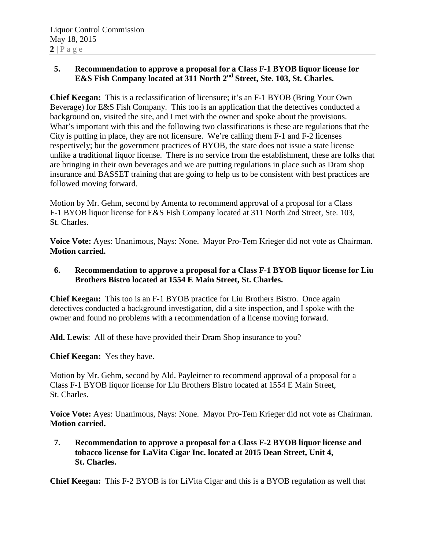### **5. Recommendation to approve a proposal for a Class F-1 BYOB liquor license for E&S Fish Company located at 311 North 2nd Street, Ste. 103, St. Charles.**

**Chief Keegan:** This is a reclassification of licensure; it's an F-1 BYOB (Bring Your Own Beverage) for E&S Fish Company. This too is an application that the detectives conducted a background on, visited the site, and I met with the owner and spoke about the provisions. What's important with this and the following two classifications is these are regulations that the City is putting in place, they are not licensure. We're calling them F-1 and F-2 licenses respectively; but the government practices of BYOB, the state does not issue a state license unlike a traditional liquor license. There is no service from the establishment, these are folks that are bringing in their own beverages and we are putting regulations in place such as Dram shop insurance and BASSET training that are going to help us to be consistent with best practices are followed moving forward.

Motion by Mr. Gehm, second by Amenta to recommend approval of a proposal for a Class F-1 BYOB liquor license for E&S Fish Company located at 311 North 2nd Street, Ste. 103, St. Charles.

**Voice Vote:** Ayes: Unanimous, Nays: None. Mayor Pro-Tem Krieger did not vote as Chairman. **Motion carried.**

### **6. Recommendation to approve a proposal for a Class F-1 BYOB liquor license for Liu Brothers Bistro located at 1554 E Main Street, St. Charles.**

**Chief Keegan:** This too is an F-1 BYOB practice for Liu Brothers Bistro. Once again detectives conducted a background investigation, did a site inspection, and I spoke with the owner and found no problems with a recommendation of a license moving forward.

**Ald. Lewis**: All of these have provided their Dram Shop insurance to you?

**Chief Keegan:** Yes they have.

Motion by Mr. Gehm, second by Ald. Payleitner to recommend approval of a proposal for a Class F-1 BYOB liquor license for Liu Brothers Bistro located at 1554 E Main Street, St. Charles.

**Voice Vote:** Ayes: Unanimous, Nays: None. Mayor Pro-Tem Krieger did not vote as Chairman. **Motion carried.**

**7. Recommendation to approve a proposal for a Class F-2 BYOB liquor license and tobacco license for LaVita Cigar Inc. located at 2015 Dean Street, Unit 4, St. Charles.**

**Chief Keegan:** This F-2 BYOB is for LiVita Cigar and this is a BYOB regulation as well that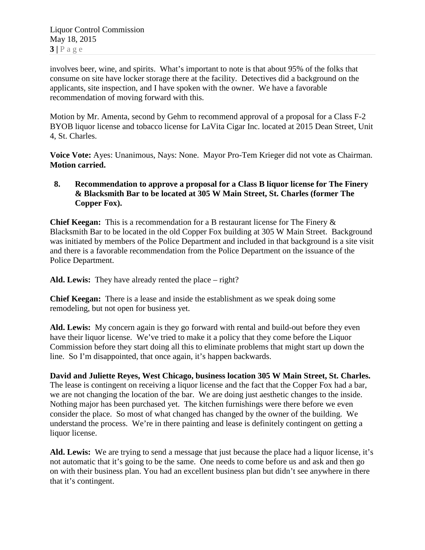involves beer, wine, and spirits. What's important to note is that about 95% of the folks that consume on site have locker storage there at the facility. Detectives did a background on the applicants, site inspection, and I have spoken with the owner. We have a favorable recommendation of moving forward with this.

Motion by Mr. Amenta, second by Gehm to recommend approval of a proposal for a Class F-2 BYOB liquor license and tobacco license for LaVita Cigar Inc. located at 2015 Dean Street, Unit 4, St. Charles.

**Voice Vote:** Ayes: Unanimous, Nays: None. Mayor Pro-Tem Krieger did not vote as Chairman. **Motion carried.**

#### **8. Recommendation to approve a proposal for a Class B liquor license for The Finery & Blacksmith Bar to be located at 305 W Main Street, St. Charles (former The Copper Fox).**

**Chief Keegan:** This is a recommendation for a B restaurant license for The Finery & Blacksmith Bar to be located in the old Copper Fox building at 305 W Main Street. Background was initiated by members of the Police Department and included in that background is a site visit and there is a favorable recommendation from the Police Department on the issuance of the Police Department.

**Ald. Lewis:** They have already rented the place – right?

**Chief Keegan:** There is a lease and inside the establishment as we speak doing some remodeling, but not open for business yet.

**Ald. Lewis:** My concern again is they go forward with rental and build-out before they even have their liquor license. We've tried to make it a policy that they come before the Liquor Commission before they start doing all this to eliminate problems that might start up down the line. So I'm disappointed, that once again, it's happen backwards.

**David and Juliette Reyes, West Chicago, business location 305 W Main Street, St. Charles.**  The lease is contingent on receiving a liquor license and the fact that the Copper Fox had a bar, we are not changing the location of the bar. We are doing just aesthetic changes to the inside. Nothing major has been purchased yet. The kitchen furnishings were there before we even consider the place. So most of what changed has changed by the owner of the building. We understand the process. We're in there painting and lease is definitely contingent on getting a liquor license.

**Ald. Lewis:** We are trying to send a message that just because the place had a liquor license, it's not automatic that it's going to be the same. One needs to come before us and ask and then go on with their business plan. You had an excellent business plan but didn't see anywhere in there that it's contingent.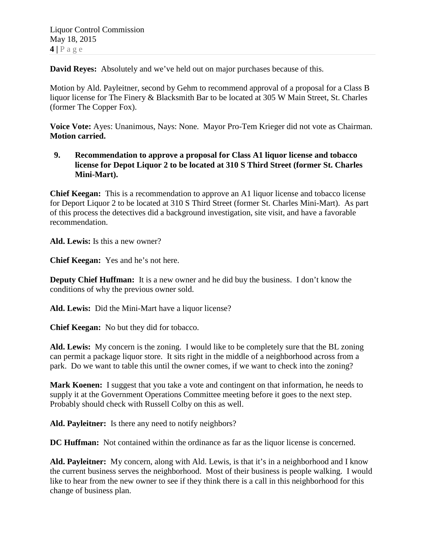**David Reyes:** Absolutely and we've held out on major purchases because of this.

Motion by Ald. Payleitner, second by Gehm to recommend approval of a proposal for a Class B liquor license for The Finery & Blacksmith Bar to be located at 305 W Main Street, St. Charles (former The Copper Fox).

**Voice Vote:** Ayes: Unanimous, Nays: None. Mayor Pro-Tem Krieger did not vote as Chairman. **Motion carried.**

**9. Recommendation to approve a proposal for Class A1 liquor license and tobacco license for Depot Liquor 2 to be located at 310 S Third Street (former St. Charles Mini-Mart).**

**Chief Keegan:** This is a recommendation to approve an A1 liquor license and tobacco license for Deport Liquor 2 to be located at 310 S Third Street (former St. Charles Mini-Mart). As part of this process the detectives did a background investigation, site visit, and have a favorable recommendation.

**Ald. Lewis:** Is this a new owner?

**Chief Keegan:** Yes and he's not here.

**Deputy Chief Huffman:** It is a new owner and he did buy the business. I don't know the conditions of why the previous owner sold.

**Ald. Lewis:** Did the Mini-Mart have a liquor license?

**Chief Keegan:** No but they did for tobacco.

**Ald. Lewis:** My concern is the zoning. I would like to be completely sure that the BL zoning can permit a package liquor store. It sits right in the middle of a neighborhood across from a park. Do we want to table this until the owner comes, if we want to check into the zoning?

**Mark Koenen:** I suggest that you take a vote and contingent on that information, he needs to supply it at the Government Operations Committee meeting before it goes to the next step. Probably should check with Russell Colby on this as well.

**Ald. Payleitner:** Is there any need to notify neighbors?

**DC Huffman:** Not contained within the ordinance as far as the liquor license is concerned.

**Ald. Payleitner:** My concern, along with Ald. Lewis, is that it's in a neighborhood and I know the current business serves the neighborhood. Most of their business is people walking. I would like to hear from the new owner to see if they think there is a call in this neighborhood for this change of business plan.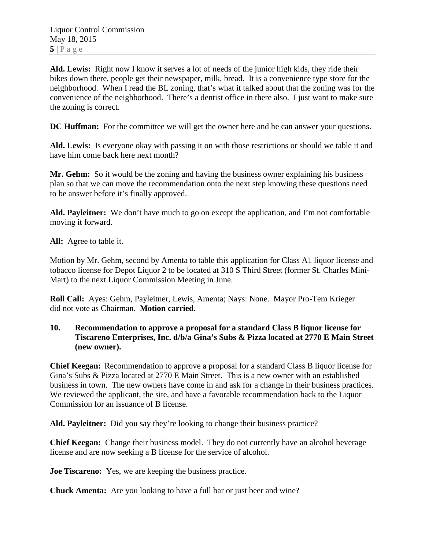**Ald. Lewis:** Right now I know it serves a lot of needs of the junior high kids, they ride their bikes down there, people get their newspaper, milk, bread. It is a convenience type store for the neighborhood. When I read the BL zoning, that's what it talked about that the zoning was for the convenience of the neighborhood. There's a dentist office in there also. I just want to make sure the zoning is correct.

**DC Huffman:** For the committee we will get the owner here and he can answer your questions.

**Ald. Lewis:** Is everyone okay with passing it on with those restrictions or should we table it and have him come back here next month?

**Mr. Gehm:** So it would be the zoning and having the business owner explaining his business plan so that we can move the recommendation onto the next step knowing these questions need to be answer before it's finally approved.

**Ald. Payleitner:** We don't have much to go on except the application, and I'm not comfortable moving it forward.

**All:** Agree to table it.

Motion by Mr. Gehm, second by Amenta to table this application for Class A1 liquor license and tobacco license for Depot Liquor 2 to be located at 310 S Third Street (former St. Charles Mini-Mart) to the next Liquor Commission Meeting in June.

**Roll Call:** Ayes: Gehm, Payleitner, Lewis, Amenta; Nays: None. Mayor Pro-Tem Krieger did not vote as Chairman. **Motion carried.**

#### **10. Recommendation to approve a proposal for a standard Class B liquor license for Tiscareno Enterprises, Inc. d/b/a Gina's Subs & Pizza located at 2770 E Main Street (new owner).**

**Chief Keegan:** Recommendation to approve a proposal for a standard Class B liquor license for Gina's Subs & Pizza located at 2770 E Main Street. This is a new owner with an established business in town. The new owners have come in and ask for a change in their business practices. We reviewed the applicant, the site, and have a favorable recommendation back to the Liquor Commission for an issuance of B license.

**Ald. Payleitner:** Did you say they're looking to change their business practice?

**Chief Keegan:** Change their business model. They do not currently have an alcohol beverage license and are now seeking a B license for the service of alcohol.

**Joe Tiscareno:** Yes, we are keeping the business practice.

**Chuck Amenta:** Are you looking to have a full bar or just beer and wine?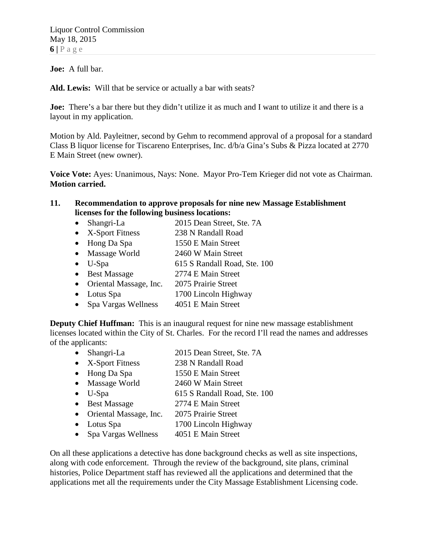**Joe:** A full bar.

**Ald. Lewis:** Will that be service or actually a bar with seats?

**Joe:** There's a bar there but they didn't utilize it as much and I want to utilize it and there is a layout in my application.

Motion by Ald. Payleitner, second by Gehm to recommend approval of a proposal for a standard Class B liquor license for Tiscareno Enterprises, Inc. d/b/a Gina's Subs & Pizza located at 2770 E Main Street (new owner).

**Voice Vote:** Ayes: Unanimous, Nays: None. Mayor Pro-Tem Krieger did not vote as Chairman. **Motion carried.**

#### **11. Recommendation to approve proposals for nine new Massage Establishment licenses for the following business locations:**

- Shangri-La 2015 Dean Street, Ste. 7A
- X-Sport Fitness 238 N Randall Road
- Hong Da Spa 1550 E Main Street
- Massage World 2460 W Main Street
- U-Spa 615 S Randall Road, Ste. 100
- Best Massage 2774 E Main Street
- Oriental Massage, Inc. 2075 Prairie Street
- Lotus Spa 1700 Lincoln Highway
- Spa Vargas Wellness 4051 E Main Street

**Deputy Chief Huffman:** This is an inaugural request for nine new massage establishment licenses located within the City of St. Charles. For the record I'll read the names and addresses of the applicants:

- Shangri-La 2015 Dean Street, Ste. 7A
- X-Sport Fitness 238 N Randall Road
- Hong Da Spa 1550 E Main Street
- Massage World 2460 W Main Street
- U-Spa 615 S Randall Road, Ste. 100
- Best Massage 2774 E Main Street
- Oriental Massage, Inc. 2075 Prairie Street
- Lotus Spa 1700 Lincoln Highway
- Spa Vargas Wellness 4051 E Main Street

On all these applications a detective has done background checks as well as site inspections, along with code enforcement. Through the review of the background, site plans, criminal histories, Police Department staff has reviewed all the applications and determined that the applications met all the requirements under the City Massage Establishment Licensing code.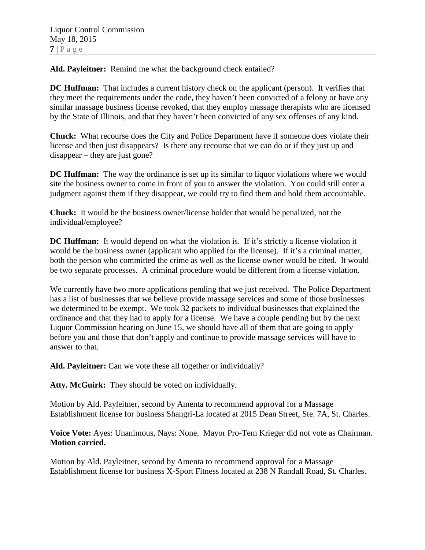**Ald. Payleitner:** Remind me what the background check entailed?

**DC Huffman:** That includes a current history check on the applicant (person). It verifies that they meet the requirements under the code, they haven't been convicted of a felony or have any similar massage business license revoked, that they employ massage therapists who are licensed by the State of Illinois, and that they haven't been convicted of any sex offenses of any kind.

**Chuck:** What recourse does the City and Police Department have if someone does violate their license and then just disappears? Is there any recourse that we can do or if they just up and disappear – they are just gone?

**DC Huffman:** The way the ordinance is set up its similar to liquor violations where we would site the business owner to come in front of you to answer the violation. You could still enter a judgment against them if they disappear, we could try to find them and hold them accountable.

**Chuck:** It would be the business owner/license holder that would be penalized, not the individual/employee?

**DC Huffman:** It would depend on what the violation is. If it's strictly a license violation it would be the business owner (applicant who applied for the license). If it's a criminal matter, both the person who committed the crime as well as the license owner would be cited. It would be two separate processes. A criminal procedure would be different from a license violation.

We currently have two more applications pending that we just received. The Police Department has a list of businesses that we believe provide massage services and some of those businesses we determined to be exempt. We took 32 packets to individual businesses that explained the ordinance and that they had to apply for a license. We have a couple pending but by the next Liquor Commission hearing on June 15, we should have all of them that are going to apply before you and those that don't apply and continue to provide massage services will have to answer to that.

**Ald. Payleitner:** Can we vote these all together or individually?

**Atty. McGuirk:** They should be voted on individually.

Motion by Ald. Payleitner, second by Amenta to recommend approval for a Massage Establishment license for business Shangri-La located at 2015 Dean Street, Ste. 7A, St. Charles.

**Voice Vote:** Ayes: Unanimous, Nays: None. Mayor Pro-Tem Krieger did not vote as Chairman. **Motion carried.**

Motion by Ald. Payleitner, second by Amenta to recommend approval for a Massage Establishment license for business X-Sport Fitness located at 238 N Randall Road, St. Charles.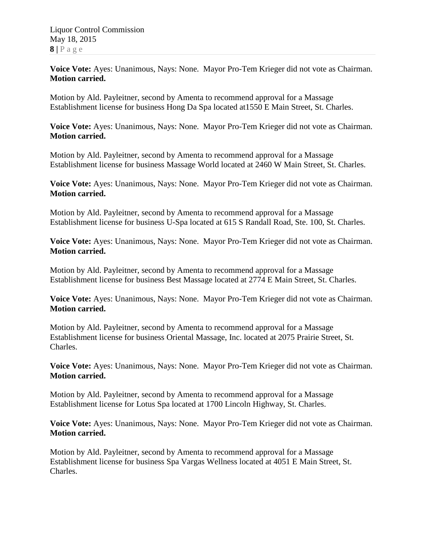**Voice Vote:** Ayes: Unanimous, Nays: None. Mayor Pro-Tem Krieger did not vote as Chairman. **Motion carried.**

Motion by Ald. Payleitner, second by Amenta to recommend approval for a Massage Establishment license for business Hong Da Spa located at1550 E Main Street, St. Charles.

**Voice Vote:** Ayes: Unanimous, Nays: None. Mayor Pro-Tem Krieger did not vote as Chairman. **Motion carried.**

Motion by Ald. Payleitner, second by Amenta to recommend approval for a Massage Establishment license for business Massage World located at 2460 W Main Street, St. Charles.

**Voice Vote:** Ayes: Unanimous, Nays: None. Mayor Pro-Tem Krieger did not vote as Chairman. **Motion carried.**

Motion by Ald. Payleitner, second by Amenta to recommend approval for a Massage Establishment license for business U-Spa located at 615 S Randall Road, Ste. 100, St. Charles.

**Voice Vote:** Ayes: Unanimous, Nays: None. Mayor Pro-Tem Krieger did not vote as Chairman. **Motion carried.**

Motion by Ald. Payleitner, second by Amenta to recommend approval for a Massage Establishment license for business Best Massage located at 2774 E Main Street, St. Charles.

**Voice Vote:** Ayes: Unanimous, Nays: None. Mayor Pro-Tem Krieger did not vote as Chairman. **Motion carried.**

Motion by Ald. Payleitner, second by Amenta to recommend approval for a Massage Establishment license for business Oriental Massage, Inc. located at 2075 Prairie Street, St. Charles.

**Voice Vote:** Ayes: Unanimous, Nays: None. Mayor Pro-Tem Krieger did not vote as Chairman. **Motion carried.**

Motion by Ald. Payleitner, second by Amenta to recommend approval for a Massage Establishment license for Lotus Spa located at 1700 Lincoln Highway, St. Charles.

**Voice Vote:** Ayes: Unanimous, Nays: None. Mayor Pro-Tem Krieger did not vote as Chairman. **Motion carried.**

Motion by Ald. Payleitner, second by Amenta to recommend approval for a Massage Establishment license for business Spa Vargas Wellness located at 4051 E Main Street, St. Charles.